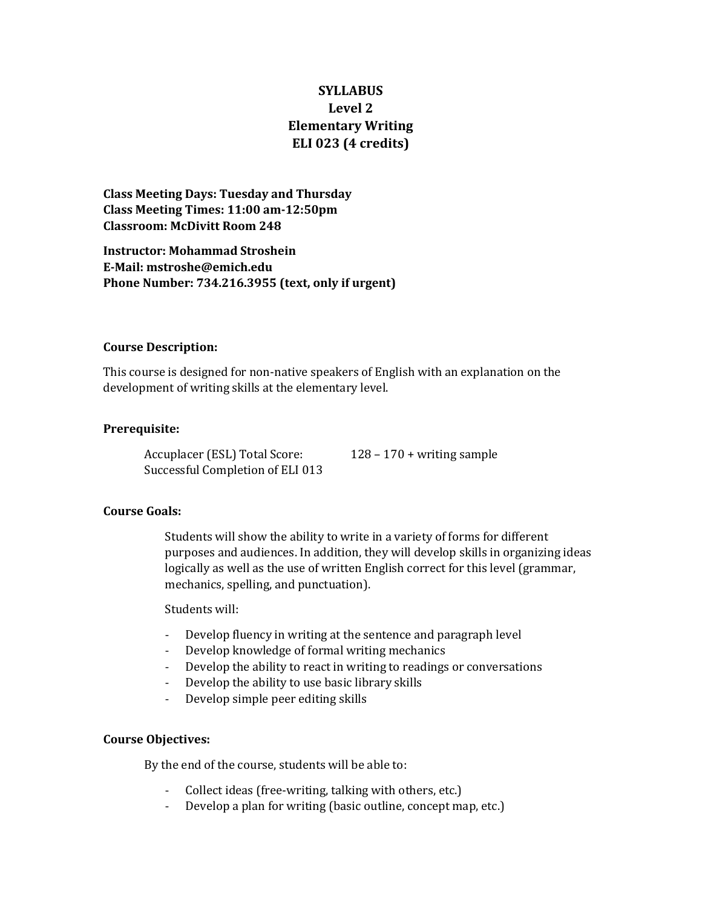# **SYLLABUS Level 2 Elementary Writing ELI 023 (4 credits)**

**Class Meeting Days: Tuesday and Thursday Class Meeting Times: 11:00 am-12:50pm Classroom: McDivitt Room 248**

**Instructor: Mohammad Stroshein E-Mail: mstroshe@emich.edu Phone Number: 734.216.3955 (text, only if urgent)**

#### **Course Description:**

This course is designed for non-native speakers of English with an explanation on the development of writing skills at the elementary level.

### **Prerequisite:**

Accuplacer (ESL) Total Score: 128 – 170 + writing sample Successful Completion of ELI 013

### **Course Goals:**

Students will show the ability to write in a variety of forms for different purposes and audiences. In addition, they will develop skills in organizing ideas logically as well as the use of written English correct for this level (grammar, mechanics, spelling, and punctuation).

Students will:

- Develop fluency in writing at the sentence and paragraph level
- Develop knowledge of formal writing mechanics
- Develop the ability to react in writing to readings or conversations
- Develop the ability to use basic library skills
- Develop simple peer editing skills

#### **Course Objectives:**

By the end of the course, students will be able to:

- Collect ideas (free-writing, talking with others, etc.)
- Develop a plan for writing (basic outline, concept map, etc.)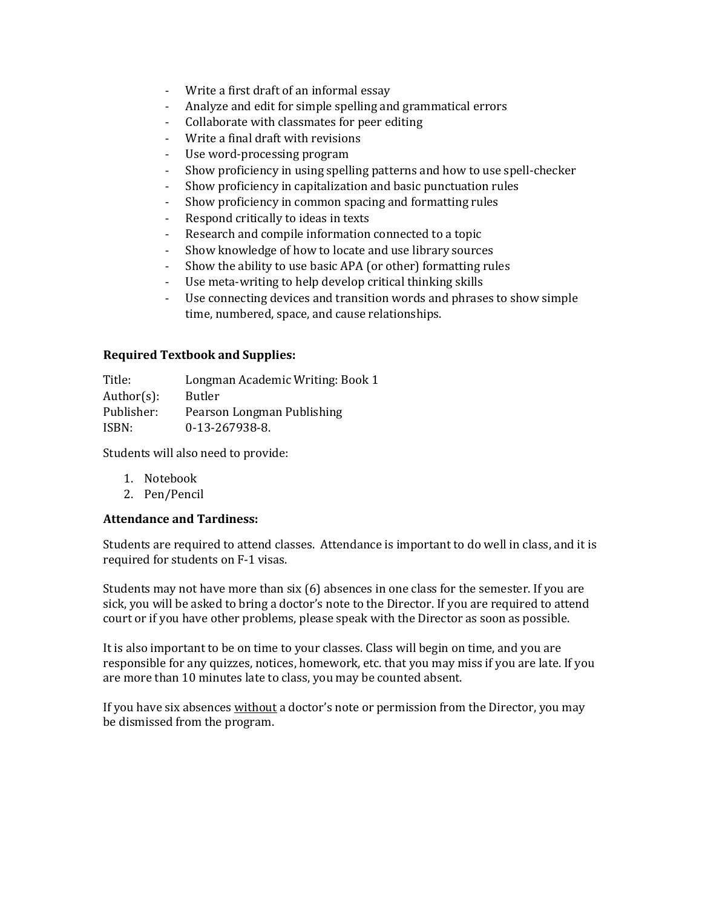- Write a first draft of an informal essay
- Analyze and edit for simple spelling and grammatical errors
- Collaborate with classmates for peer editing
- Write a final draft with revisions
- Use word-processing program
- Show proficiency in using spelling patterns and how to use spell-checker
- Show proficiency in capitalization and basic punctuation rules
- Show proficiency in common spacing and formatting rules
- Respond critically to ideas in texts
- Research and compile information connected to a topic
- Show knowledge of how to locate and use library sources
- Show the ability to use basic APA (or other) formatting rules
- Use meta-writing to help develop critical thinking skills
- Use connecting devices and transition words and phrases to show simple time, numbered, space, and cause relationships.

### **Required Textbook and Supplies:**

Title: Longman Academic Writing: Book 1 Author(s): Butler Publisher: Pearson Longman Publishing ISBN: 0-13-267938-8.

Students will also need to provide:

- 1. Notebook
- 2. Pen/Pencil

### **Attendance and Tardiness:**

Students are required to attend classes. Attendance is important to do well in class, and it is required for students on F-1 visas.

Students may not have more than six (6) absences in one class for the semester. If you are sick, you will be asked to bring a doctor's note to the Director. If you are required to attend court or if you have other problems, please speak with the Director as soon as possible.

It is also important to be on time to your classes. Class will begin on time, and you are responsible for any quizzes, notices, homework, etc. that you may miss if you are late. If you are more than 10 minutes late to class, you may be counted absent.

If you have six absences without a doctor's note or permission from the Director, you may be dismissed from the program.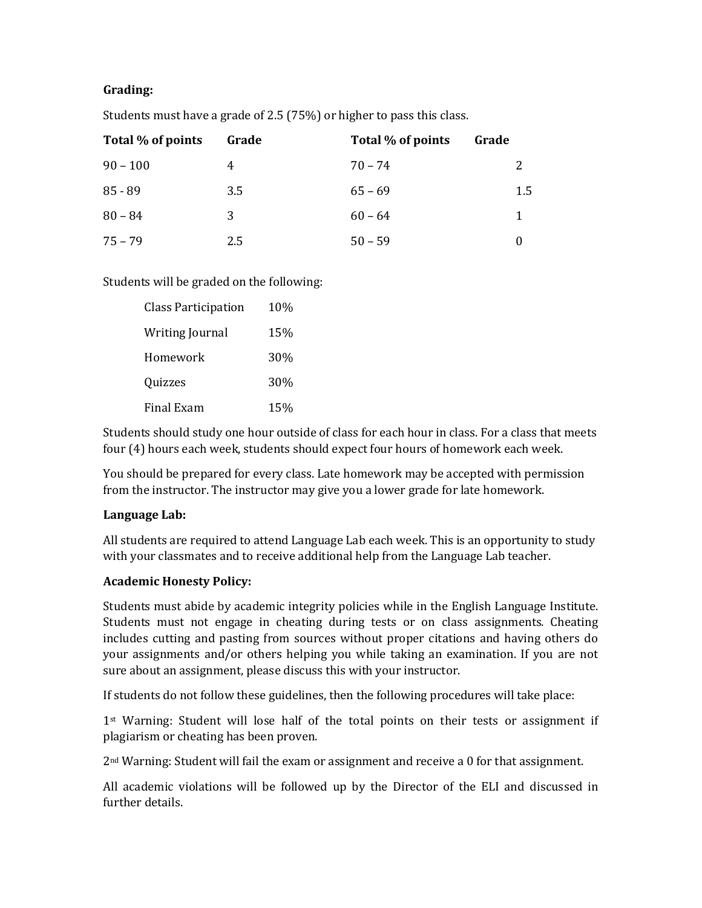## **Grading:**

| Total % of points | Grade | Total % of points | Grade |
|-------------------|-------|-------------------|-------|
| $90 - 100$        | 4     | $70 - 74$         |       |
| $85 - 89$         | 3.5   | $65 - 69$         | 1.5   |
| $80 - 84$         | 3     | $60 - 64$         | 1     |
| $75 - 79$         | 2.5   | $50 - 59$         |       |

Students must have a grade of 2.5 (75%) or higher to pass this class.

## Students will be graded on the following:

| <b>Class Participation</b> | 10% |
|----------------------------|-----|
| <b>Writing Journal</b>     | 15% |
| Homework                   | 30% |
| Quizzes                    | 30% |
| <b>Final Exam</b>          | 15% |

Students should study one hour outside of class for each hour in class. For a class that meets four (4) hours each week, students should expect four hours of homework each week.

You should be prepared for every class. Late homework may be accepted with permission from the instructor. The instructor may give you a lower grade for late homework.

### **Language Lab:**

All students are required to attend Language Lab each week. This is an opportunity to study with your classmates and to receive additional help from the Language Lab teacher.

## **Academic Honesty Policy:**

Students must abide by academic integrity policies while in the English Language Institute. Students must not engage in cheating during tests or on class assignments. Cheating includes cutting and pasting from sources without proper citations and having others do your assignments and/or others helping you while taking an examination. If you are not sure about an assignment, please discuss this with your instructor.

If students do not follow these guidelines, then the following procedures will take place:

1st Warning: Student will lose half of the total points on their tests or assignment if plagiarism or cheating has been proven.

2nd Warning: Student will fail the exam or assignment and receive a 0 for that assignment.

All academic violations will be followed up by the Director of the ELI and discussed in further details.